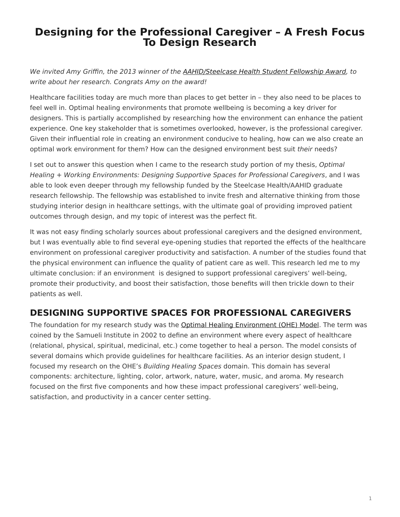## <span id="page-0-0"></span>**Designing for the Professional Caregiver – A Fresh Focus To Design Research**

We invited Amy Griffin, the 2013 winner of the [AAHID/Steelcase Health Student Fellowship Award,](https://www.steelcase.com/press-releases/aahid-and-steelcase-health-award-second-graduate-research-fellowship/) to write about her research. Congrats Amy on the award!

Healthcare facilities today are much more than places to get better in – they also need to be places to feel well in. Optimal healing environments that promote wellbeing is becoming a key driver for designers. This is partially accomplished by researching how the environment can enhance the patient experience. One key stakeholder that is sometimes overlooked, however, is the professional caregiver. Given their influential role in creating an environment conducive to healing, how can we also create an optimal work environment for them? How can the designed environment best suit their needs?

I set out to answer this question when I came to the research study portion of my thesis, Optimal Healing + Working Environments: Designing Supportive Spaces for Professional Caregivers, and I was able to look even deeper through my fellowship funded by the Steelcase Health/AAHID graduate research fellowship. The fellowship was established to invite fresh and alternative thinking from those studying interior design in healthcare settings, with the ultimate goal of providing improved patient outcomes through design, and my topic of interest was the perfect fit.

It was not easy finding scholarly sources about professional caregivers and the designed environment, but I was eventually able to find several eye-opening studies that reported the effects of the healthcare environment on professional caregiver productivity and satisfaction. A number of the studies found that the physical environment can influence the quality of patient care as well. This research led me to my ultimate conclusion: if an environment is designed to support professional caregivers' well-being, promote their productivity, and boost their satisfaction, those benefits will then trickle down to their patients as well.

## **DESIGNING SUPPORTIVE SPACES FOR PROFESSIONAL CAREGIVERS**

The foundation for my research study was the [Optimal Healing Environment \(OHE\) Model.](http://www.samueliinstitute.org/research-areas/optimal-healing-environments/ohe-framework.html) The term was coined by the Samueli Institute in 2002 to define an environment where every aspect of healthcare (relational, physical, spiritual, medicinal, etc.) come together to heal a person. The model consists of several domains which provide guidelines for healthcare facilities. As an interior design student, I focused my research on the OHE's Building Healing Spaces domain. This domain has several components: architecture, lighting, color, artwork, nature, water, music, and aroma. My research focused on the first five components and how these impact professional caregivers' well-being, satisfaction, and productivity in a cancer center setting.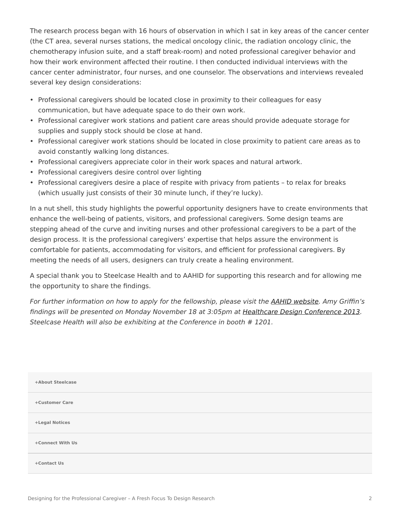The research process began with 16 hours of observation in which I sat in key areas of the cancer center (the CT area, several nurses stations, the medical oncology clinic, the radiation oncology clinic, the chemotherapy infusion suite, and a staff break-room) and noted professional caregiver behavior and how their work environment affected their routine. I then conducted individual interviews with the cancer center administrator, four nurses, and one counselor. The observations and interviews revealed several key design considerations:

- Professional caregivers should be located close in proximity to their colleagues for easy communication, but have adequate space to do their own work.
- Professional caregiver work stations and patient care areas should provide adequate storage for supplies and supply stock should be close at hand.
- Professional caregiver work stations should be located in close proximity to patient care areas as to avoid constantly walking long distances.
- Professional caregivers appreciate color in their work spaces and natural artwork.
- Professional caregivers desire control over lighting
- Professional caregivers desire a place of respite with privacy from patients to relax for breaks (which usually just consists of their 30 minute lunch, if they're lucky).

In a nut shell, this study highlights the powerful opportunity designers have to create environments that enhance the well-being of patients, visitors, and professional caregivers. Some design teams are stepping ahead of the curve and inviting nurses and other professional caregivers to be a part of the design process. It is the professional caregivers' expertise that helps assure the environment is comfortable for patients, accommodating for visitors, and efficient for professional caregivers. By meeting the needs of all users, designers can truly create a healing environment.

A special thank you to Steelcase Health and to AAHID for supporting this research and for allowing me the opportunity to share the findings.

For further information on how to apply for the fellowship, please visit the [AAHID website.](https://aahid.org/) Amy Griffin's findings will be presented on Monday November 18 at 3:05pm at [Healthcare Design Conference 2013](http://www.healthcaredesignmagazine.com/conference/healthcare-design-conference). Steelcase Health will also be exhibiting at the Conference in booth # 1201.

| +About Steelcase |
|------------------|
| +Customer Care   |
| +Legal Notices   |
| +Connect With Us |
| +Contact Us      |